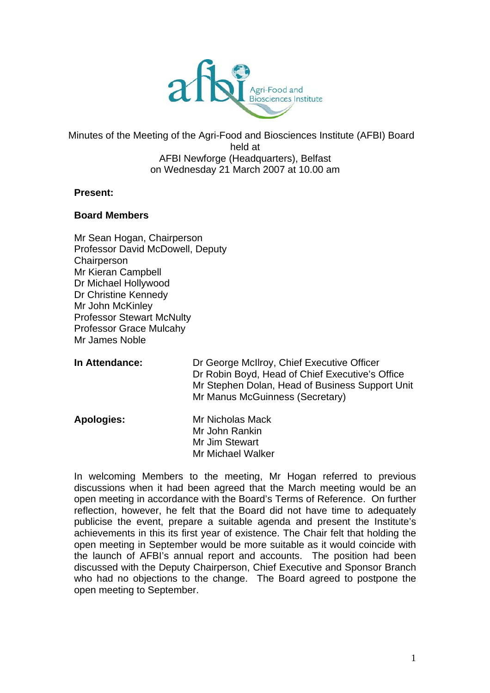

Minutes of the Meeting of the Agri-Food and Biosciences Institute (AFBI) Board held at AFBI Newforge (Headquarters), Belfast on Wednesday 21 March 2007 at 10.00 am

#### **Present:**

#### **Board Members**

- Mr Sean Hogan, Chairperson Professor David McDowell, Deputy **Chairperson** Mr Kieran Campbell Dr Michael Hollywood Dr Christine Kennedy Mr John McKinley Professor Stewart McNulty Professor Grace Mulcahy Mr James Noble
- In Attendance: **Dr George McIlroy, Chief Executive Officer** Dr Robin Boyd, Head of Chief Executive's Office Mr Stephen Dolan, Head of Business Support Unit Mr Manus McGuinness (Secretary)
- **Apologies:** Mr Nicholas Mack Mr John Rankin Mr Jim Stewart Mr Michael Walker

In welcoming Members to the meeting, Mr Hogan referred to previous discussions when it had been agreed that the March meeting would be an open meeting in accordance with the Board's Terms of Reference. On further reflection, however, he felt that the Board did not have time to adequately publicise the event, prepare a suitable agenda and present the Institute's achievements in this its first year of existence. The Chair felt that holding the open meeting in September would be more suitable as it would coincide with the launch of AFBI's annual report and accounts. The position had been discussed with the Deputy Chairperson, Chief Executive and Sponsor Branch who had no objections to the change. The Board agreed to postpone the open meeting to September.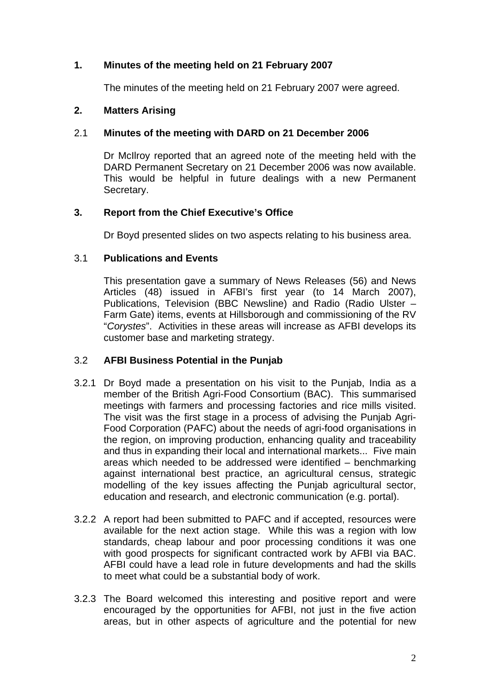# **1. Minutes of the meeting held on 21 February 2007**

The minutes of the meeting held on 21 February 2007 were agreed.

#### **2. Matters Arising**

#### 2.1 **Minutes of the meeting with DARD on 21 December 2006**

Dr McIlroy reported that an agreed note of the meeting held with the DARD Permanent Secretary on 21 December 2006 was now available. This would be helpful in future dealings with a new Permanent Secretary.

### **3. Report from the Chief Executive's Office**

Dr Boyd presented slides on two aspects relating to his business area.

#### 3.1 **Publications and Events**

This presentation gave a summary of News Releases (56) and News Articles (48) issued in AFBI's first year (to 14 March 2007), Publications, Television (BBC Newsline) and Radio (Radio Ulster – Farm Gate) items, events at Hillsborough and commissioning of the RV "*Corystes*". Activities in these areas will increase as AFBI develops its customer base and marketing strategy.

### 3.2 **AFBI Business Potential in the Punjab**

- 3.2.1 Dr Boyd made a presentation on his visit to the Punjab, India as a member of the British Agri-Food Consortium (BAC). This summarised meetings with farmers and processing factories and rice mills visited. The visit was the first stage in a process of advising the Punjab Agri-Food Corporation (PAFC) about the needs of agri-food organisations in the region, on improving production, enhancing quality and traceability and thus in expanding their local and international markets... Five main areas which needed to be addressed were identified – benchmarking against international best practice, an agricultural census, strategic modelling of the key issues affecting the Punjab agricultural sector, education and research, and electronic communication (e.g. portal).
- with good prospects for significant contracted work by AFBI via BAC. 3.2.2 A report had been submitted to PAFC and if accepted, resources were available for the next action stage. While this was a region with low standards, cheap labour and poor processing conditions it was one AFBI could have a lead role in future developments and had the skills to meet what could be a substantial body of work.
- 3.2.3 The Board welcomed this interesting and positive report and were encouraged by the opportunities for AFBI, not just in the five action areas, but in other aspects of agriculture and the potential for new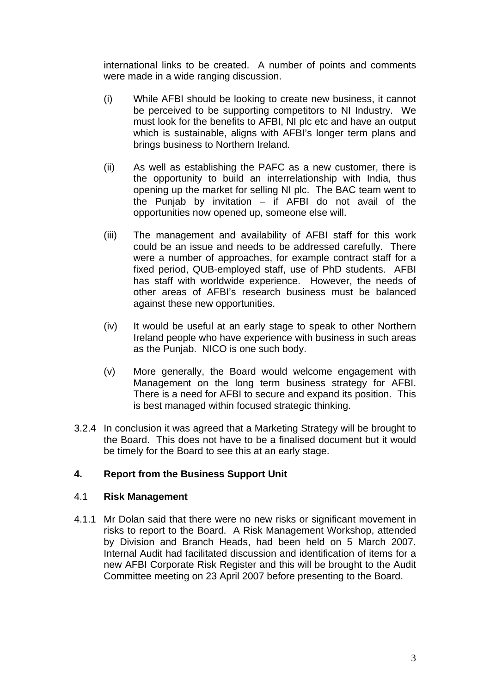international links to be created. A number of points and comments were made in a wide ranging discussion.

- (i) While AFBI should be looking to create new business, it cannot be perceived to be supporting competitors to NI Industry. We must look for the benefits to AFBI, NI plc etc and have an output which is sustainable, aligns with AFBI's longer term plans and brings business to Northern Ireland.
- (ii) As well as establishing the PAFC as a new customer, there is the opportunity to build an interrelationship with India, thus opening up the market for selling NI plc. The BAC team went to the Punjab by invitation – if AFBI do not avail of the opportunities now opened up, someone else will.
- (iii) The management and availability of AFBI staff for this work could be an issue and needs to be addressed carefully. There were a number of approaches, for example contract staff for a fixed period, QUB-employed staff, use of PhD students. AFBI has staff with worldwide experience. However, the needs of other areas of AFBI's research business must be balanced against these new opportunities.
- (iv) It would be useful at an early stage to speak to other Northern Ireland people who have experience with business in such areas as the Punjab. NICO is one such body.
- (v) More generally, the Board would welcome engagement with Management on the long term business strategy for AFBI. There is a need for AFBI to secure and expand its position. This is best managed within focused strategic thinking.
- 3.2.4 In conclusion it was agreed that a Marketing Strategy will be brought to the Board. This does not have to be a finalised document but it would be timely for the Board to see this at an early stage.

# **4. Report from the Business Support Unit**

### 4.1 **Risk Management**

 by Division and Branch Heads, had been held on 5 March 2007. 4.1.1 Mr Dolan said that there were no new risks or significant movement in risks to report to the Board. A Risk Management Workshop, attended Internal Audit had facilitated discussion and identification of items for a new AFBI Corporate Risk Register and this will be brought to the Audit Committee meeting on 23 April 2007 before presenting to the Board.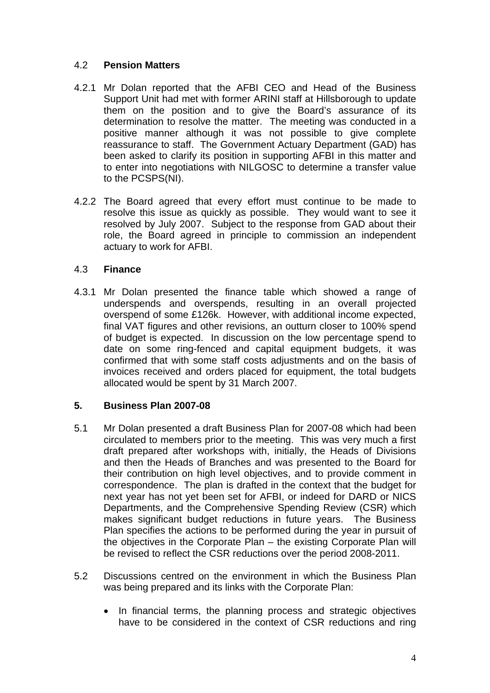# 4.2 **Pension Matters**

- 4.2.1 Mr Dolan reported that the AFBI CEO and Head of the Business Support Unit had met with former ARINI staff at Hillsborough to update them on the position and to give the Board's assurance of its determination to resolve the matter. The meeting was conducted in a positive manner although it was not possible to give complete reassurance to staff. The Government Actuary Department (GAD) has been asked to clarify its position in supporting AFBI in this matter and to enter into negotiations with NILGOSC to determine a transfer value to the PCSPS(NI).
- 4.2.2 The Board agreed that every effort must continue to be made to resolve this issue as quickly as possible. They would want to see it resolved by July 2007. Subject to the response from GAD about their role, the Board agreed in principle to commission an independent actuary to work for AFBI.

### 4.3 **Finance**

4.3.1 Mr Dolan presented the finance table which showed a range of underspends and overspends, resulting in an overall projected overspend of some £126k. However, with additional income expected, final VAT figures and other revisions, an outturn closer to 100% spend of budget is expected. In discussion on the low percentage spend to date on some ring-fenced and capital equipment budgets, it was confirmed that with some staff costs adjustments and on the basis of invoices received and orders placed for equipment, the total budgets allocated would be spent by 31 March 2007.

# **5. Business Plan 2007-08**

- 5.1 Mr Dolan presented a draft Business Plan for 2007-08 which had been circulated to members prior to the meeting. This was very much a first draft prepared after workshops with, initially, the Heads of Divisions and then the Heads of Branches and was presented to the Board for their contribution on high level objectives, and to provide comment in correspondence. The plan is drafted in the context that the budget for next year has not yet been set for AFBI, or indeed for DARD or NICS Departments, and the Comprehensive Spending Review (CSR) which makes significant budget reductions in future years. The Business Plan specifies the actions to be performed during the year in pursuit of the objectives in the Corporate Plan – the existing Corporate Plan will be revised to reflect the CSR reductions over the period 2008-2011.
- 5.2 Discussions centred on the environment in which the Business Plan was being prepared and its links with the Corporate Plan:
	- In financial terms, the planning process and strategic objectives have to be considered in the context of CSR reductions and ring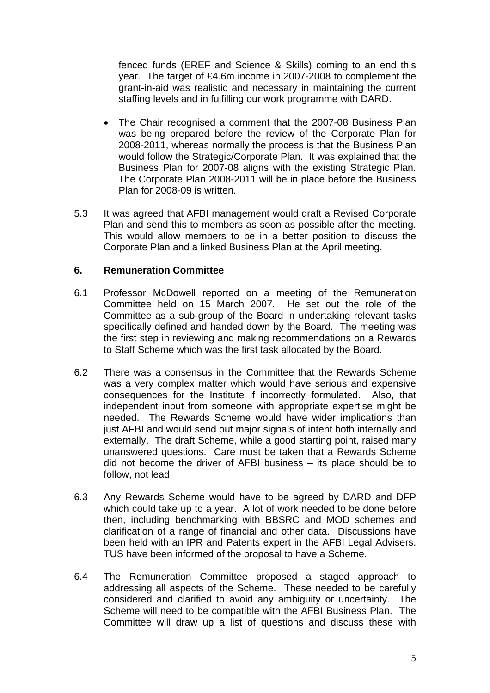fenced funds (EREF and Science & Skills) coming to an end this year. The target of £4.6m income in 2007-2008 to complement the grant-in-aid was realistic and necessary in maintaining the current staffing levels and in fulfilling our work programme with DARD.

- Business Plan for 2007-08 aligns with the existing Strategic Plan. • The Chair recognised a comment that the 2007-08 Business Plan was being prepared before the review of the Corporate Plan for 2008-2011, whereas normally the process is that the Business Plan would follow the Strategic/Corporate Plan. It was explained that the The Corporate Plan 2008-2011 will be in place before the Business Plan for 2008-09 is written.
- Plan and send this to members as soon as possible after the meeting. 5.3 It was agreed that AFBI management would draft a Revised Corporate This would allow members to be in a better position to discuss the Corporate Plan and a linked Business Plan at the April meeting.

### **6. Remuneration Committee**

- 6.1 Professor McDowell reported on a meeting of the Remuneration Committee held on 15 March 2007. He set out the role of the Committee as a sub-group of the Board in undertaking relevant tasks specifically defined and handed down by the Board. The meeting was the first step in reviewing and making recommendations on a Rewards to Staff Scheme which was the first task allocated by the Board.
- 6.2 There was a consensus in the Committee that the Rewards Scheme was a very complex matter which would have serious and expensive consequences for the Institute if incorrectly formulated. Also, that independent input from someone with appropriate expertise might be needed. The Rewards Scheme would have wider implications than just AFBI and would send out major signals of intent both internally and externally. The draft Scheme, while a good starting point, raised many unanswered questions. Care must be taken that a Rewards Scheme did not become the driver of AFBI business – its place should be to follow, not lead.
- 6.3 Any Rewards Scheme would have to be agreed by DARD and DFP which could take up to a year. A lot of work needed to be done before then, including benchmarking with BBSRC and MOD schemes and clarification of a range of financial and other data. Discussions have been held with an IPR and Patents expert in the AFBI Legal Advisers. TUS have been informed of the proposal to have a Scheme.
- 6.4 The Remuneration Committee proposed a staged approach to addressing all aspects of the Scheme. These needed to be carefully considered and clarified to avoid any ambiguity or uncertainty. The Scheme will need to be compatible with the AFBI Business Plan. The Committee will draw up a list of questions and discuss these with